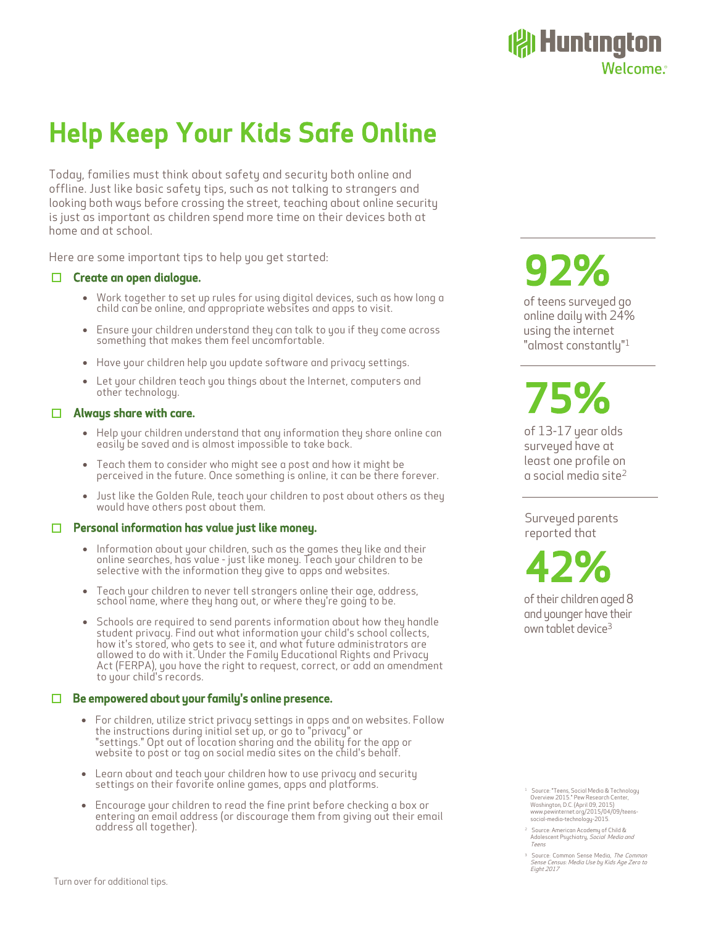## Help Keep Your Kids Safe Online

Today, families must think about safety and security both online and offline. Just like basic safety tips, such as not talking to strangers and looking both ways before crossing the street, teaching about online security is just as important as children spend more time on their devices both at home and at school.

Here are some important tips to help you get started:

### $\Box$  Create an open dialoque.

- Work together to set up rules for using digital devices, such as how long a child can be online, and appropriate websites and apps to visit.
- Ensure your children understand they can talk to you if they come across something that makes them feel uncomfortable.
- Have your children help you update software and privacy settings.
- Let your children teach you things about the Internet, computers and other technology.

### $\Box$  Alwaus share with care.

- Help your children understand that any information they share online can easily be saved and is almost impossible to take back.
- Teach them to consider who might see a post and how it might be perceived in the future. Once something is online, it can be there forever.
- Just like the Golden Rule, teach your children to post about others as they would have others post about them.

#### Personal information has value just like money.  $\Box$

- Information about your children, such as the games they like and their online searches, has value - just like money. Teach your children to be selective with the information they give to apps and websites.
- Teach your children to never tell strangers online their age, address, school name, where they hang out, or where they're going to be.
- Schools are required to send parents information about how they handle student privacy. Find out what information your child's school collects, how it's stored, who gets to see it, and what future administrators are allowed to do with it. Under the Family Educational Rights and Privacy Act (FERPA), you have the right to request, correct, or add an amendment to your child's records.

### $\Box$  Be empowered about your family's online presence.

- For children, utilize strict privacy settings in apps and on websites. Follow the instructions during initial set up, or go to "privacy" or "settings." Opt out of location sharing and the ability for the app or website to post or tag on social media sites on the child's behalf.
- Learn about and teach your children how to use privacy and security settings on their favorite online games, apps and platforms.
- Encourage your children to read the fine print before checking a box or entering an email address (or discourage them from giving out their email address all together).

# 92%

of teens surveyed go online daily with 24% using the internet "almost constantly"<sup>1</sup>

**19 Huntington** 

Welcome.<sup>®</sup>

# 75%

of 13-17 year olds surveyed have at least one profile on a social media site<sup>2</sup>

Surveyed parents reported that

 42% of their children aged 8 and younger have their own tablet device<sup>3</sup>

Source: "Teens, Social Media & Technology Overview 2015." Pew Research Center, Washington, D.C. (April 09, 2015) www.pewinternet.org/2015/04/09/teens-social-media-technology-2015.

- <sup>2</sup> Source: American Academy of Child &<br>Adolescent Psychiatry, *Social Media and* Teens
- <sup>3</sup> Source: Common Sense Media, *The Common*<br>*Sense Census: Media Use by Kids Age Zero to* Eight 2017